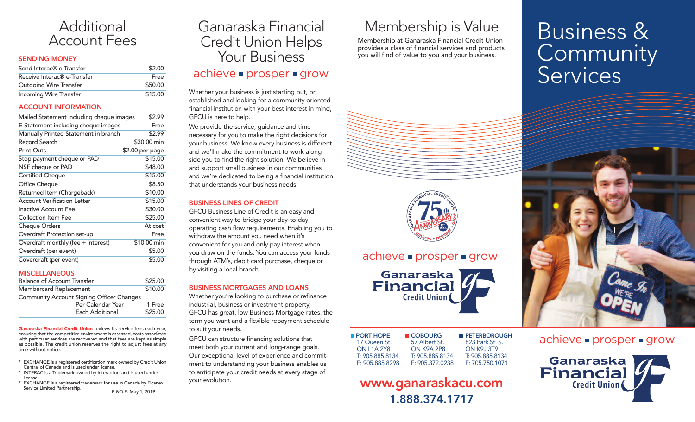

#### SENDING MONEY

| Send Interac <sup>®</sup> e-Transfer    | \$2.00  |
|-----------------------------------------|---------|
| Receive Interac <sup>®</sup> e-Transfer | Free    |
| <b>Outgoing Wire Transfer</b>           | \$50.00 |
| Incoming Wire Transfer                  | \$15.00 |

#### ACCOUNT INFORMATION

| Mailed Statement including cheque images | \$2.99          |
|------------------------------------------|-----------------|
| E-Statement including cheque images      | Free            |
| Manually Printed Statement in branch     | \$2.99          |
| Record Search                            | \$30.00 min     |
| <b>Print Outs</b>                        | \$2.00 per page |
| Stop payment cheque or PAD               | \$15.00         |
| NSF cheque or PAD                        | \$48.00         |
| Certified Cheque                         | \$15.00         |
| Office Cheque                            | \$8.50          |
| Returned Item (Chargeback)               | \$10.00         |
| <b>Account Verification Letter</b>       | \$15.00         |
| <b>Inactive Account Fee</b>              | \$30.00         |
| Collection Item Fee                      | \$25.00         |
| <b>Cheque Orders</b>                     | At cost         |
| Overdraft Protection set-up              | Free            |
| Overdraft monthly (fee + interest)       | \$10.00 min     |
| Overdraft (per event)                    | \$5.00          |
| Coverdraft (per event)                   | \$5.00          |

#### **MISCELLANEOUS**

| <b>Balance of Account Transfer</b>               | \$25.00 |
|--------------------------------------------------|---------|
| Membercard Replacement                           | \$10.00 |
| <b>Community Account Signing Officer Changes</b> |         |
| Per Calendar Year                                | 1 Free  |
| Each Additional                                  | \$25.00 |

Ganaraska Financial Credit Union reviews its service fees each year, ensuring that the competitive environment is assessed, costs associated with particular services are recovered and that fees are kept as simple as possible. The credit union reserves the right to adjust fees at any time without notice.

- \* EXCHANGE is a registered certification mark owned by Credit Union Central of Canada and is used under license.
- \* INTERAC is a Trademark owned by Interac Inc. and is used under license.
- \* EXCHANGE is a registered trademark for use in Canada by Ficanex E.&O.E. May 1, 2019

# Ganaraska Financial Credit Union Helps Your Business  $achieve \nightharpoonup$  prosper  $\blacktriangleright$  grow

Whether your business is just starting out, or established and looking for a community oriented financial institution with your best interest in mind, GFCU is here to help.

We provide the service, guidance and time necessary for you to make the right decisions for your business. We know every business is different and we'll make the commitment to work along side you to find the right solution. We believe in and support small business in our communities and we're dedicated to being a financial institution that understands your business needs.

#### BUSINESS LINES OF CREDIT

GFCU Business Line of Credit is an easy and convenient way to bridge your day-to-day operating cash flow requirements. Enabling you to withdraw the amount you need when it's convenient for you and only pay interest when you draw on the funds. You can access your funds through ATM's, debit card purchase, cheque or by visiting a local branch.

#### BUSINESS MORTGAGES AND LOANS

Whether you're looking to purchase or refinance industrial, business or investment property, GFCU has great, low Business Mortgage rates, the term you want and a flexible repayment schedule to suit your needs.

GFCU can structure financing solutions that meet both your current and long-range goals. Our exceptional level of experience and commitment to understanding your business enables us to anticipate your credit needs at every stage of your evolution.

# Membership is Value

Membership at Ganaraska Financial Credit Union provides a class of financial services and products you will find of value to you and your business.



### $achieve \rightarrow prosper \rightarrow grow$

Ganaraska<br>**Financial Credit Union** 

| <b>PORT HOPE</b>  | ■ COBOURG       | <b>PETERBOROUGH</b> |
|-------------------|-----------------|---------------------|
| 17 Queen St.      | 57 Albert St.   | 823 Park St. S.     |
| <b>ON 114 2Y8</b> | ON K9A 2P8      | <b>ON K9.I 3T9</b>  |
| T: 905.885.8134   | T: 905.885.8134 | T: 905.885.8134     |
| F: 905.885.8298   | F: 905.372.0238 | F: 705.750.1071     |

# www.ganaraskacu.com 1.888.374.1717

# Business & Community<br>Services



achieve **prosper** grow